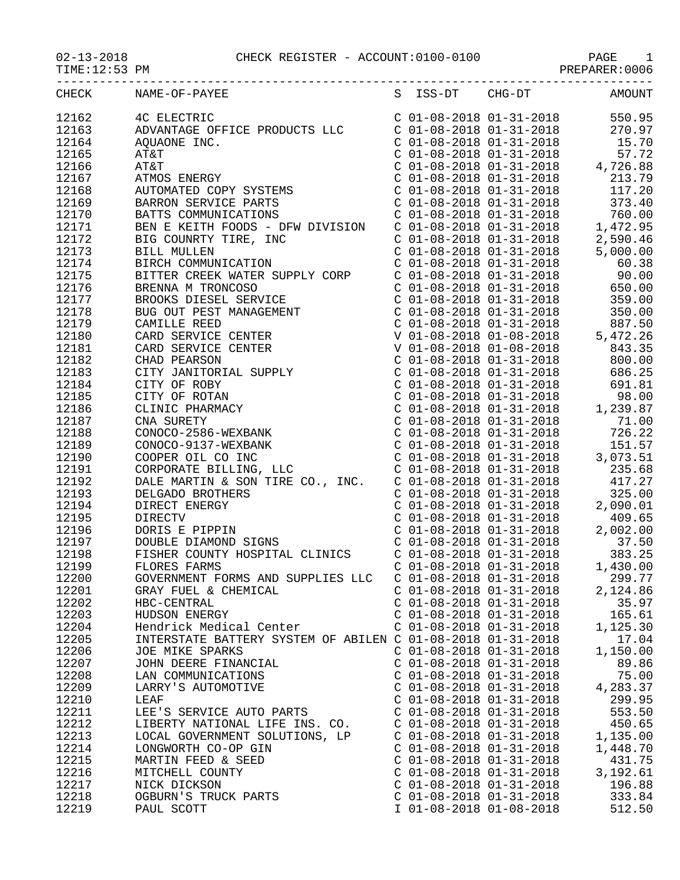## 02-13-2018 CHECK REGISTER - ACCOUNT:0100-0100 PAGE 1

|       | CHECK NAME-OF-PAYEE<br>S ISS-DT CHG-DT AMOUNT                             |                           |          |
|-------|---------------------------------------------------------------------------|---------------------------|----------|
|       |                                                                           |                           |          |
|       |                                                                           |                           |          |
|       |                                                                           |                           |          |
|       |                                                                           |                           |          |
|       |                                                                           |                           |          |
|       |                                                                           |                           |          |
|       |                                                                           |                           |          |
|       |                                                                           |                           |          |
|       |                                                                           |                           |          |
|       |                                                                           |                           |          |
|       |                                                                           |                           |          |
|       |                                                                           |                           |          |
|       |                                                                           |                           |          |
|       |                                                                           |                           |          |
|       |                                                                           |                           |          |
|       |                                                                           |                           |          |
|       |                                                                           |                           |          |
|       |                                                                           |                           |          |
|       |                                                                           |                           |          |
|       |                                                                           |                           |          |
|       |                                                                           |                           |          |
|       |                                                                           |                           |          |
|       |                                                                           |                           |          |
|       |                                                                           |                           |          |
|       |                                                                           |                           |          |
|       |                                                                           |                           |          |
|       |                                                                           |                           |          |
|       |                                                                           |                           |          |
|       |                                                                           |                           |          |
|       |                                                                           |                           |          |
|       |                                                                           |                           |          |
|       |                                                                           |                           |          |
|       |                                                                           |                           |          |
|       |                                                                           |                           |          |
|       |                                                                           |                           |          |
|       |                                                                           |                           |          |
|       |                                                                           |                           |          |
|       |                                                                           |                           |          |
|       |                                                                           |                           |          |
|       |                                                                           |                           |          |
|       | FLORES FARMS<br>GOVERNMENT FORMS AND SUPPLIES LLC C 01-08-2018 01-31-2018 |                           |          |
| 12200 |                                                                           |                           | 299.77   |
| 12201 | GRAY FUEL & CHEMICAL                                                      | $C$ 01-08-2018 01-31-2018 | 2,124.86 |
| 12202 | HBC-CENTRAL                                                               | $C$ 01-08-2018 01-31-2018 | 35.97    |
| 12203 | HUDSON ENERGY                                                             | $C$ 01-08-2018 01-31-2018 | 165.61   |
| 12204 | Hendrick Medical Center                                                   | $C$ 01-08-2018 01-31-2018 | 1,125.30 |
| 12205 | INTERSTATE BATTERY SYSTEM OF ABILEN C 01-08-2018 01-31-2018               |                           | 17.04    |
| 12206 | JOE MIKE SPARKS                                                           | $C$ 01-08-2018 01-31-2018 | 1,150.00 |
| 12207 | JOHN DEERE FINANCIAL                                                      | $C$ 01-08-2018 01-31-2018 | 89.86    |
| 12208 | LAN COMMUNICATIONS                                                        | $C$ 01-08-2018 01-31-2018 | 75.00    |
| 12209 | LARRY'S AUTOMOTIVE                                                        | $C$ 01-08-2018 01-31-2018 | 4,283.37 |
| 12210 | LEAF                                                                      | $C$ 01-08-2018 01-31-2018 | 299.95   |
| 12211 | LEE'S SERVICE AUTO PARTS                                                  | $C$ 01-08-2018 01-31-2018 | 553.50   |
| 12212 | LIBERTY NATIONAL LIFE INS. CO.                                            | $C$ 01-08-2018 01-31-2018 | 450.65   |
| 12213 | LOCAL GOVERNMENT SOLUTIONS, LP                                            | $C$ 01-08-2018 01-31-2018 | 1,135.00 |
| 12214 |                                                                           | $C$ 01-08-2018 01-31-2018 |          |
|       | LONGWORTH CO-OP GIN                                                       |                           | 1,448.70 |
| 12215 | MARTIN FEED & SEED                                                        | $C$ 01-08-2018 01-31-2018 | 431.75   |
| 12216 | MITCHELL COUNTY                                                           | $C$ 01-08-2018 01-31-2018 | 3,192.61 |
| 12217 | NICK DICKSON                                                              | $C$ 01-08-2018 01-31-2018 | 196.88   |
| 12218 | OGBURN'S TRUCK PARTS                                                      | $C$ 01-08-2018 01-31-2018 | 333.84   |

12218 OGBURN'S TRUCK PARTS C 01-08-2018 01-31-2018 333.84

 $I$  01-08-2018 01-08-2018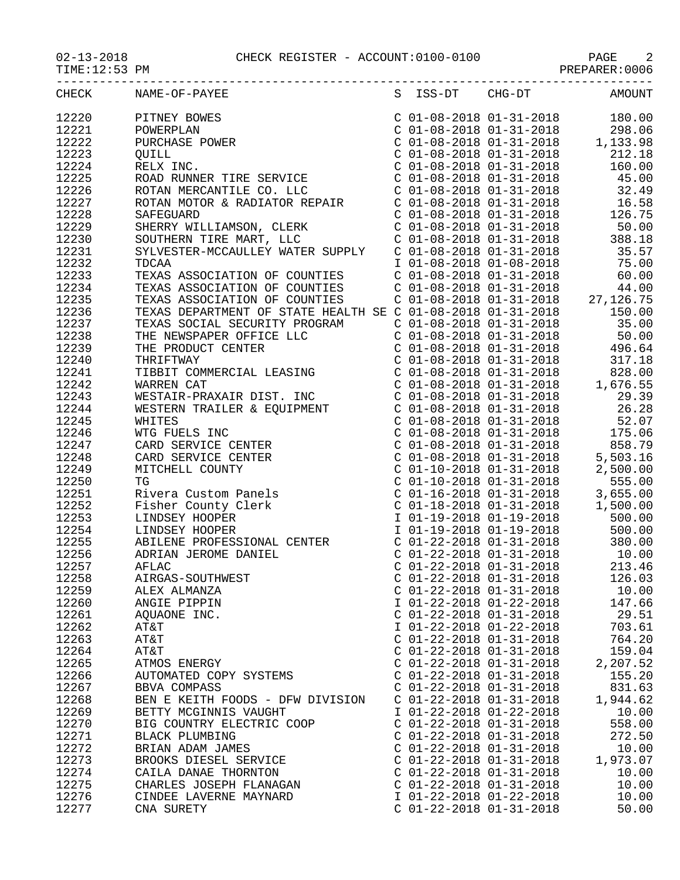$TIME:12:53$  PM

| CHECK | NAME-OF-PAYEE                    |                           |                           | S ISS-DT CHG-DT AMOUNT |
|-------|----------------------------------|---------------------------|---------------------------|------------------------|
| 12220 |                                  |                           |                           |                        |
| 12221 | PITNEY BOWES                     |                           |                           |                        |
|       | POWERPLAN<br>PURCHASE 1          |                           |                           |                        |
| 12222 |                                  |                           |                           |                        |
| 12223 | QUILL                            |                           |                           |                        |
| 12224 |                                  |                           |                           |                        |
| 12225 |                                  |                           |                           |                        |
| 12226 |                                  |                           |                           |                        |
| 12227 |                                  |                           |                           |                        |
| 12228 |                                  |                           |                           |                        |
| 12229 |                                  |                           |                           |                        |
| 12230 |                                  |                           |                           |                        |
| 12231 |                                  |                           |                           |                        |
| 12232 |                                  |                           |                           |                        |
| 12233 |                                  |                           |                           |                        |
|       |                                  |                           |                           |                        |
| 12234 |                                  |                           |                           |                        |
| 12235 |                                  |                           |                           |                        |
| 12236 |                                  |                           |                           |                        |
| 12237 |                                  |                           |                           |                        |
| 12238 |                                  |                           |                           |                        |
| 12239 |                                  |                           |                           |                        |
| 12240 |                                  |                           |                           |                        |
| 12241 |                                  |                           |                           |                        |
| 12242 |                                  |                           |                           |                        |
| 12243 |                                  |                           |                           |                        |
| 12244 |                                  |                           |                           |                        |
| 12245 |                                  |                           |                           |                        |
| 12246 |                                  |                           |                           |                        |
|       |                                  |                           |                           |                        |
| 12247 |                                  |                           |                           |                        |
| 12248 |                                  |                           |                           |                        |
| 12249 |                                  |                           |                           |                        |
| 12250 |                                  |                           |                           |                        |
| 12251 |                                  |                           |                           |                        |
| 12252 |                                  |                           |                           |                        |
| 12253 |                                  |                           |                           |                        |
| 12254 |                                  |                           |                           |                        |
| 12255 |                                  |                           |                           |                        |
| 12256 | ADRIAN JEROME DANIEL             |                           |                           |                        |
| 12257 | AFLAC                            |                           |                           |                        |
| 12258 | AIRGAS-SOUTHWEST                 |                           | $C$ 01-22-2018 01-31-2018 | 126.03                 |
| 12259 | ALEX ALMANZA                     | $C$ 01-22-2018 01-31-2018 |                           | 10.00                  |
| 12260 | ANGIE PIPPIN                     | I 01-22-2018 01-22-2018   |                           | 147.66                 |
| 12261 | AQUAONE INC.                     | $C$ 01-22-2018 01-31-2018 |                           | 29.51                  |
| 12262 | AT&T                             | I 01-22-2018 01-22-2018   |                           | 703.61                 |
| 12263 | AT&T                             | $C$ 01-22-2018 01-31-2018 |                           | 764.20                 |
| 12264 | AT&T                             | $C$ 01-22-2018 01-31-2018 |                           | 159.04                 |
| 12265 |                                  | $C$ 01-22-2018 01-31-2018 |                           |                        |
|       | ATMOS ENERGY                     |                           |                           | 2,207.52               |
| 12266 | AUTOMATED COPY SYSTEMS           | $C$ 01-22-2018 01-31-2018 |                           | 155.20                 |
| 12267 | BBVA COMPASS                     | $C$ 01-22-2018 01-31-2018 |                           | 831.63                 |
| 12268 | BEN E KEITH FOODS - DFW DIVISION | $C$ 01-22-2018 01-31-2018 |                           | 1,944.62               |
| 12269 | BETTY MCGINNIS VAUGHT            | I 01-22-2018 01-22-2018   |                           | 10.00                  |
| 12270 | BIG COUNTRY ELECTRIC COOP        | $C$ 01-22-2018 01-31-2018 |                           | 558.00                 |
| 12271 | BLACK PLUMBING                   | $C$ 01-22-2018 01-31-2018 |                           | 272.50                 |
| 12272 | BRIAN ADAM JAMES                 | $C$ 01-22-2018 01-31-2018 |                           | 10.00                  |
| 12273 | BROOKS DIESEL SERVICE            | $C$ 01-22-2018 01-31-2018 |                           | 1,973.07               |
| 12274 | CAILA DANAE THORNTON             | $C$ 01-22-2018 01-31-2018 |                           | 10.00                  |
| 12275 | CHARLES JOSEPH FLANAGAN          | $C$ 01-22-2018 01-31-2018 |                           | 10.00                  |
| 12276 | CINDEE LAVERNE MAYNARD           | I 01-22-2018 01-22-2018   |                           | 10.00                  |
| 12277 | CNA SURETY                       | $C$ 01-22-2018 01-31-2018 |                           | 50.00                  |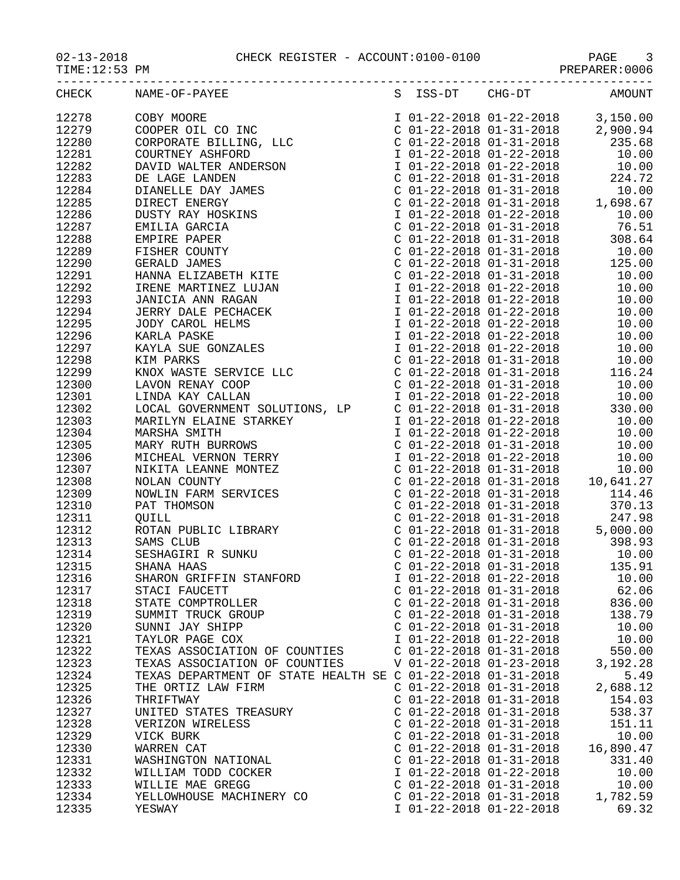02-13-2018 CHECK REGISTER - ACCOUNT:0100-0100 PAGE 3

|       | CHECK NAME-OF-PAYEE<br>$\begin{tabular}{l c c c c} \multicolumn{1}{l}{\textbf{NAMF-OP+PNTE}} & \multicolumn{1}{l}{\textbf{S}} & \multicolumn{1}{l}{\textbf{TS-SPT}} & \multicolumn{1}{l}{\textbf{C10}} & \multicolumn{1}{l}{\textbf{C1}} & \multicolumn{1}{l}{\textbf{C1}} & \multicolumn{1}{l}{\textbf{C1}} & \multicolumn{1}{l}{\textbf{C1}} & \multicolumn{1}{l}{\textbf{C1}} & \multicolumn{1}{l}{\textbf{C1}} & \multicolumn{1}{l}{\textbf{C1}} & \multicolumn{1}{l}{\$ |                           | S ISS-DT CHG-DT AMOUNT |           |
|-------|------------------------------------------------------------------------------------------------------------------------------------------------------------------------------------------------------------------------------------------------------------------------------------------------------------------------------------------------------------------------------------------------------------------------------------------------------------------------------|---------------------------|------------------------|-----------|
| 12278 |                                                                                                                                                                                                                                                                                                                                                                                                                                                                              |                           |                        |           |
| 12279 |                                                                                                                                                                                                                                                                                                                                                                                                                                                                              |                           |                        |           |
| 12280 |                                                                                                                                                                                                                                                                                                                                                                                                                                                                              |                           |                        |           |
| 12281 |                                                                                                                                                                                                                                                                                                                                                                                                                                                                              |                           |                        |           |
| 12282 |                                                                                                                                                                                                                                                                                                                                                                                                                                                                              |                           |                        |           |
| 12283 |                                                                                                                                                                                                                                                                                                                                                                                                                                                                              |                           |                        |           |
| 12284 |                                                                                                                                                                                                                                                                                                                                                                                                                                                                              |                           |                        |           |
| 12285 |                                                                                                                                                                                                                                                                                                                                                                                                                                                                              |                           |                        |           |
| 12286 |                                                                                                                                                                                                                                                                                                                                                                                                                                                                              |                           |                        |           |
| 12287 |                                                                                                                                                                                                                                                                                                                                                                                                                                                                              |                           |                        |           |
| 12288 |                                                                                                                                                                                                                                                                                                                                                                                                                                                                              |                           |                        |           |
| 12289 |                                                                                                                                                                                                                                                                                                                                                                                                                                                                              |                           |                        |           |
| 12290 |                                                                                                                                                                                                                                                                                                                                                                                                                                                                              |                           |                        |           |
| 12291 |                                                                                                                                                                                                                                                                                                                                                                                                                                                                              |                           |                        |           |
| 12292 |                                                                                                                                                                                                                                                                                                                                                                                                                                                                              |                           |                        |           |
| 12293 |                                                                                                                                                                                                                                                                                                                                                                                                                                                                              |                           |                        |           |
|       |                                                                                                                                                                                                                                                                                                                                                                                                                                                                              |                           |                        |           |
| 12294 |                                                                                                                                                                                                                                                                                                                                                                                                                                                                              |                           |                        |           |
| 12295 |                                                                                                                                                                                                                                                                                                                                                                                                                                                                              |                           |                        |           |
| 12296 |                                                                                                                                                                                                                                                                                                                                                                                                                                                                              |                           |                        |           |
| 12297 |                                                                                                                                                                                                                                                                                                                                                                                                                                                                              |                           |                        |           |
| 12298 |                                                                                                                                                                                                                                                                                                                                                                                                                                                                              |                           |                        |           |
| 12299 |                                                                                                                                                                                                                                                                                                                                                                                                                                                                              |                           |                        |           |
| 12300 |                                                                                                                                                                                                                                                                                                                                                                                                                                                                              |                           |                        |           |
| 12301 |                                                                                                                                                                                                                                                                                                                                                                                                                                                                              |                           |                        |           |
| 12302 |                                                                                                                                                                                                                                                                                                                                                                                                                                                                              |                           |                        |           |
| 12303 |                                                                                                                                                                                                                                                                                                                                                                                                                                                                              |                           |                        |           |
| 12304 |                                                                                                                                                                                                                                                                                                                                                                                                                                                                              |                           |                        |           |
| 12305 |                                                                                                                                                                                                                                                                                                                                                                                                                                                                              |                           |                        |           |
| 12306 |                                                                                                                                                                                                                                                                                                                                                                                                                                                                              |                           |                        |           |
| 12307 |                                                                                                                                                                                                                                                                                                                                                                                                                                                                              |                           |                        |           |
| 12308 |                                                                                                                                                                                                                                                                                                                                                                                                                                                                              |                           |                        |           |
| 12309 |                                                                                                                                                                                                                                                                                                                                                                                                                                                                              |                           |                        |           |
| 12310 |                                                                                                                                                                                                                                                                                                                                                                                                                                                                              |                           |                        |           |
| 12311 |                                                                                                                                                                                                                                                                                                                                                                                                                                                                              |                           |                        |           |
| 12312 |                                                                                                                                                                                                                                                                                                                                                                                                                                                                              |                           |                        |           |
| 12313 |                                                                                                                                                                                                                                                                                                                                                                                                                                                                              |                           |                        |           |
| 12314 |                                                                                                                                                                                                                                                                                                                                                                                                                                                                              |                           |                        |           |
| 12315 |                                                                                                                                                                                                                                                                                                                                                                                                                                                                              |                           |                        |           |
| 12316 | SHARON GRIFFIN STANFORD                                                                                                                                                                                                                                                                                                                                                                                                                                                      | I 01-22-2018 01-22-2018   |                        | 10.00     |
| 12317 | STACI FAUCETT                                                                                                                                                                                                                                                                                                                                                                                                                                                                | $C$ 01-22-2018 01-31-2018 |                        | 62.06     |
| 12318 | STATE COMPTROLLER                                                                                                                                                                                                                                                                                                                                                                                                                                                            | $C$ 01-22-2018 01-31-2018 |                        | 836.00    |
| 12319 | SUMMIT TRUCK GROUP                                                                                                                                                                                                                                                                                                                                                                                                                                                           | $C$ 01-22-2018 01-31-2018 |                        | 138.79    |
| 12320 | SUNNI JAY SHIPP                                                                                                                                                                                                                                                                                                                                                                                                                                                              | $C$ 01-22-2018 01-31-2018 |                        | 10.00     |
| 12321 | TAYLOR PAGE COX                                                                                                                                                                                                                                                                                                                                                                                                                                                              | I 01-22-2018 01-22-2018   |                        | 10.00     |
| 12322 | TEXAS ASSOCIATION OF COUNTIES                                                                                                                                                                                                                                                                                                                                                                                                                                                | $C$ 01-22-2018 01-31-2018 |                        | 550.00    |
| 12323 | TEXAS ASSOCIATION OF COUNTIES                                                                                                                                                                                                                                                                                                                                                                                                                                                | V 01-22-2018 01-23-2018   |                        | 3,192.28  |
| 12324 | TEXAS DEPARTMENT OF STATE HEALTH SE C 01-22-2018 01-31-2018                                                                                                                                                                                                                                                                                                                                                                                                                  |                           |                        | 5.49      |
| 12325 | THE ORTIZ LAW FIRM                                                                                                                                                                                                                                                                                                                                                                                                                                                           | $C$ 01-22-2018 01-31-2018 |                        | 2,688.12  |
| 12326 | THRIFTWAY                                                                                                                                                                                                                                                                                                                                                                                                                                                                    | $C$ 01-22-2018 01-31-2018 |                        | 154.03    |
| 12327 | UNITED STATES TREASURY                                                                                                                                                                                                                                                                                                                                                                                                                                                       | $C$ 01-22-2018 01-31-2018 |                        | 538.37    |
| 12328 | VERIZON WIRELESS                                                                                                                                                                                                                                                                                                                                                                                                                                                             | $C$ 01-22-2018 01-31-2018 |                        | 151.11    |
| 12329 | VICK BURK                                                                                                                                                                                                                                                                                                                                                                                                                                                                    | $C$ 01-22-2018 01-31-2018 |                        | 10.00     |
| 12330 | WARREN CAT                                                                                                                                                                                                                                                                                                                                                                                                                                                                   | $C$ 01-22-2018 01-31-2018 |                        | 16,890.47 |
| 12331 | WASHINGTON NATIONAL                                                                                                                                                                                                                                                                                                                                                                                                                                                          | $C$ 01-22-2018 01-31-2018 |                        | 331.40    |
| 12332 | WILLIAM TODD COCKER                                                                                                                                                                                                                                                                                                                                                                                                                                                          | I 01-22-2018 01-22-2018   |                        | 10.00     |
| 12333 | WILLIE MAE GREGG                                                                                                                                                                                                                                                                                                                                                                                                                                                             | $C$ 01-22-2018 01-31-2018 |                        | 10.00     |
| 12334 | YELLOWHOUSE MACHINERY CO                                                                                                                                                                                                                                                                                                                                                                                                                                                     | $C$ 01-22-2018 01-31-2018 |                        | 1,782.59  |
|       |                                                                                                                                                                                                                                                                                                                                                                                                                                                                              |                           |                        |           |

12335 YESWAY I 01-22-2018 01-22-2018 69.32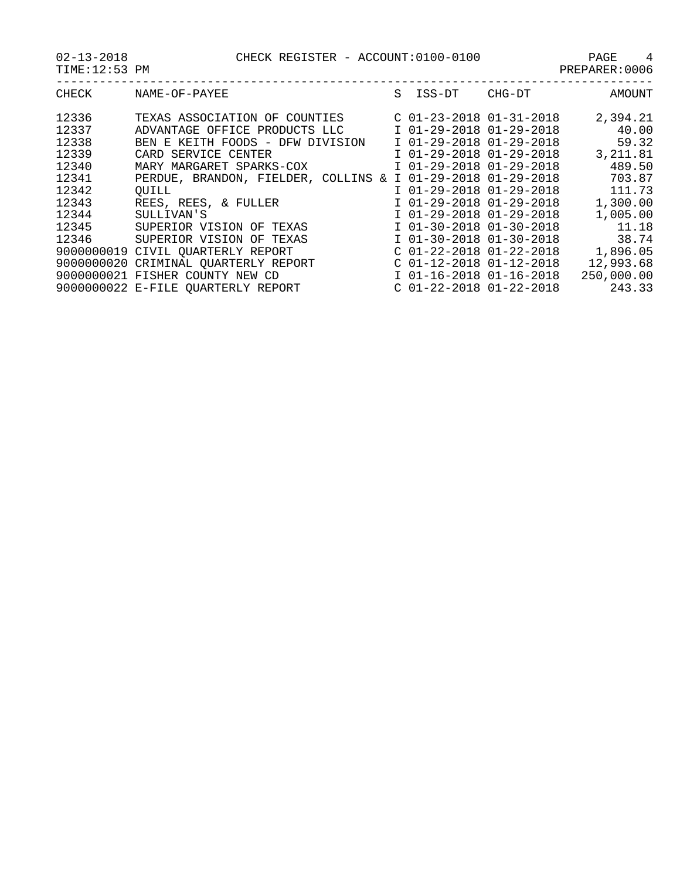| $02 - 13 - 2018$ |  | CHECK REGISTER - ACCOUNT:0100-0100 | PAGE |  |
|------------------|--|------------------------------------|------|--|
|------------------|--|------------------------------------|------|--|

| 02-13-2018    | CHECK REGISTER - ACCOUNT:0100-0100 | PAGE           |
|---------------|------------------------------------|----------------|
| TIME:12:53 PM |                                    | PREPARER: 0006 |
|               |                                    |                |

|      | S ISS-DT CHG-DT | AMOUNT |
|------|-----------------|--------|
| $-1$ |                 | .      |

| CHECK | NAME-OF-PAYEE                        | S. | ISS-DT                      | CHG-DT | AMOUNT     |
|-------|--------------------------------------|----|-----------------------------|--------|------------|
| 12336 | TEXAS ASSOCIATION OF COUNTIES        |    | $C$ 01-23-2018 01-31-2018   |        | 2,394.21   |
| 12337 | ADVANTAGE OFFICE PRODUCTS LLC        |    | I 01-29-2018 01-29-2018     |        | 40.00      |
| 12338 | BEN E KEITH FOODS - DFW DIVISION     |    | I 01-29-2018 01-29-2018     |        | 59.32      |
| 12339 | CARD SERVICE CENTER                  |    | I 01-29-2018 01-29-2018     |        | 3, 211.81  |
| 12340 | MARY MARGARET SPARKS-COX             |    | I 01-29-2018 01-29-2018     |        | 489.50     |
| 12341 | PERDUE, BRANDON, FIELDER, COLLINS    |    | $& 1$ 01-29-2018 01-29-2018 |        | 703.87     |
| 12342 | OUILL                                |    | I 01-29-2018 01-29-2018     |        | 111.73     |
| 12343 | REES, REES, & FULLER                 |    | I 01-29-2018 01-29-2018     |        | 1,300.00   |
| 12344 | SULLIVAN'S                           |    | I 01-29-2018 01-29-2018     |        | 1,005.00   |
| 12345 | SUPERIOR VISION OF TEXAS             |    | I 01-30-2018 01-30-2018     |        | 11.18      |
| 12346 | SUPERIOR VISION OF TEXAS             |    | I 01-30-2018 01-30-2018     |        | 38.74      |
|       | 9000000019 CIVIL OUARTERLY REPORT    |    | $C$ 01-22-2018 01-22-2018   |        | 1,896.05   |
|       | 9000000020 CRIMINAL QUARTERLY REPORT |    | $C$ 01-12-2018 01-12-2018   |        | 12,993.68  |
|       | 9000000021 FISHER COUNTY NEW CD      |    | I 01-16-2018 01-16-2018     |        | 250,000.00 |
|       | 9000000022 E-FILE QUARTERLY REPORT   |    | $C$ 01-22-2018 01-22-2018   |        | 243.33     |